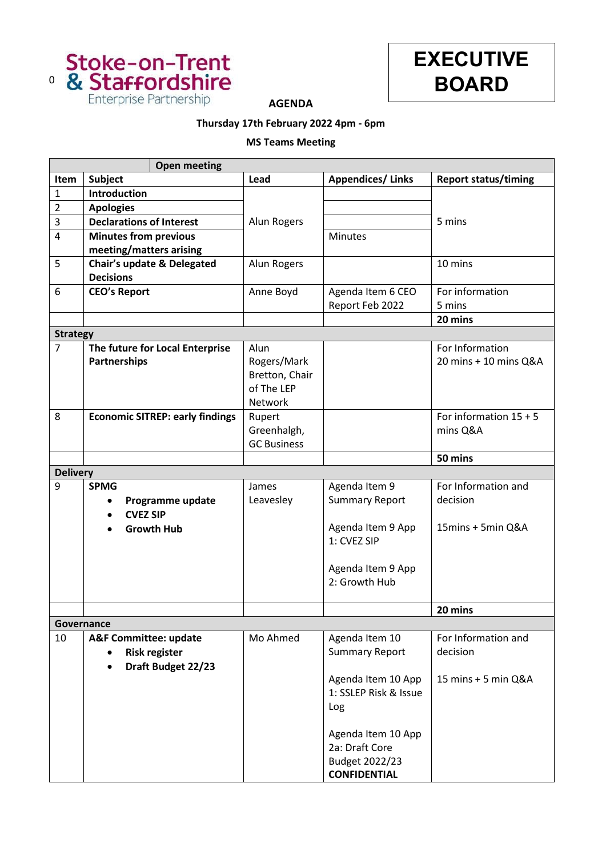



**AGENDA**

## **Thursday 17th February 2022 4pm - 6pm**

## **MS Teams Meeting**

|                 | <b>Open meeting</b>                                                            |                                                                |                                                                                            |                                          |
|-----------------|--------------------------------------------------------------------------------|----------------------------------------------------------------|--------------------------------------------------------------------------------------------|------------------------------------------|
| Item            | Subject                                                                        | Lead                                                           | <b>Appendices/Links</b>                                                                    | <b>Report status/timing</b>              |
| $\mathbf{1}$    | Introduction                                                                   |                                                                |                                                                                            |                                          |
| $\overline{2}$  | <b>Apologies</b>                                                               |                                                                |                                                                                            |                                          |
| 3               | <b>Declarations of Interest</b>                                                | Alun Rogers                                                    |                                                                                            | 5 mins                                   |
| 4               | <b>Minutes from previous</b>                                                   |                                                                | <b>Minutes</b>                                                                             |                                          |
|                 | meeting/matters arising                                                        |                                                                |                                                                                            |                                          |
| 5               | Chair's update & Delegated<br><b>Decisions</b>                                 | Alun Rogers                                                    |                                                                                            | 10 mins                                  |
| 6               | <b>CEO's Report</b>                                                            | Anne Boyd                                                      | Agenda Item 6 CEO<br>Report Feb 2022                                                       | For information<br>5 mins                |
|                 |                                                                                |                                                                |                                                                                            | 20 mins                                  |
| <b>Strategy</b> |                                                                                |                                                                |                                                                                            |                                          |
| $\overline{7}$  | The future for Local Enterprise<br>Partnerships                                | Alun<br>Rogers/Mark<br>Bretton, Chair<br>of The LEP<br>Network |                                                                                            | For Information<br>20 mins + 10 mins Q&A |
| 8               | <b>Economic SITREP: early findings</b>                                         | Rupert<br>Greenhalgh,<br><b>GC Business</b>                    |                                                                                            | For information $15 + 5$<br>mins Q&A     |
|                 |                                                                                |                                                                |                                                                                            | 50 mins                                  |
| <b>Delivery</b> |                                                                                |                                                                |                                                                                            |                                          |
| 9               | <b>SPMG</b>                                                                    | James                                                          | Agenda Item 9                                                                              | For Information and                      |
|                 | Programme update                                                               | Leavesley                                                      | <b>Summary Report</b>                                                                      | decision                                 |
|                 | <b>CVEZ SIP</b><br>$\bullet$                                                   |                                                                |                                                                                            |                                          |
|                 | <b>Growth Hub</b>                                                              |                                                                | Agenda Item 9 App<br>1: CVEZ SIP                                                           | 15mins + 5min Q&A                        |
|                 |                                                                                |                                                                | Agenda Item 9 App<br>2: Growth Hub                                                         |                                          |
|                 |                                                                                |                                                                |                                                                                            | 20 mins                                  |
|                 | Governance                                                                     |                                                                |                                                                                            |                                          |
| 10              | <b>A&amp;F Committee: update</b><br><b>Risk register</b><br>Draft Budget 22/23 | Mo Ahmed                                                       | Agenda Item 10<br><b>Summary Report</b>                                                    | For Information and<br>decision          |
|                 |                                                                                |                                                                | Agenda Item 10 App<br>1: SSLEP Risk & Issue<br>Log<br>Agenda Item 10 App<br>2a: Draft Core | 15 mins + 5 min Q&A                      |
|                 |                                                                                |                                                                | Budget 2022/23<br><b>CONFIDENTIAL</b>                                                      |                                          |